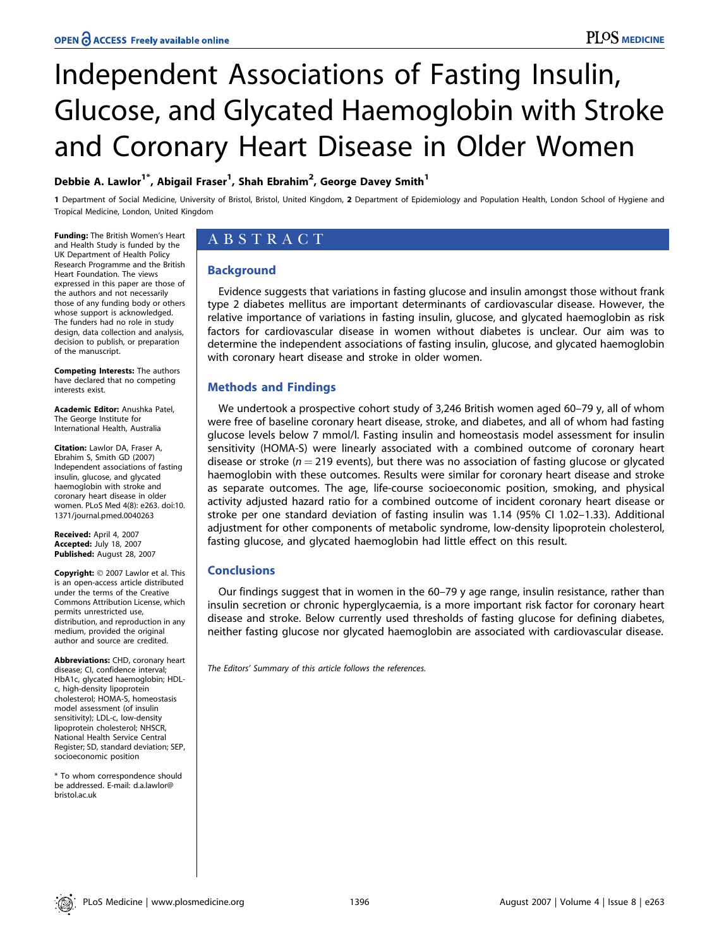# Independent Associations of Fasting Insulin, Glucose, and Glycated Haemoglobin with Stroke and Coronary Heart Disease in Older Women

# Debbie A. Lawlor $^{1^\ast}$ , Abigail Fraser $^1$ , Shah Ebrahim $^2$ , George Davey Smith $^1$

1 Department of Social Medicine, University of Bristol, Bristol, United Kingdom, 2 Department of Epidemiology and Population Health, London School of Hygiene and Tropical Medicine, London, United Kingdom

Funding: The British Women's Heart and Health Study is funded by the UK Department of Health Policy Research Programme and the British Heart Foundation. The views expressed in this paper are those of the authors and not necessarily those of any funding body or others whose support is acknowledged. The funders had no role in study design, data collection and analysis, decision to publish, or preparation of the manuscript.

Competing Interests: The authors have declared that no competing interests exist.

Academic Editor: Anushka Patel, The George Institute for International Health, Australia

Citation: Lawlor DA, Fraser A, Ebrahim S, Smith GD (2007) Independent associations of fasting insulin, glucose, and glycated haemoglobin with stroke and coronary heart disease in older women. PLoS Med 4(8): e263. doi:10. 1371/journal.pmed.0040263

Received: April 4, 2007 Accepted: July 18, 2007 Published: August 28, 2007

Copyright: © 2007 Lawlor et al. This is an open-access article distributed under the terms of the Creative Commons Attribution License, which permits unrestricted use, distribution, and reproduction in any medium, provided the original author and source are credited.

Abbreviations: CHD, coronary heart disease; CI, confidence interval; HbA1c, glycated haemoglobin; HDLc, high-density lipoprotein cholesterol; HOMA-S, homeostasis model assessment (of insulin sensitivity); LDL-c, low-density lipoprotein cholesterol; NHSCR, National Health Service Central Register; SD, standard deviation; SEP, socioeconomic position

\* To whom correspondence should be addressed. E-mail: d.a.lawlor@ bristol.ac.uk

# ABSTRACT

## **Background**

Evidence suggests that variations in fasting glucose and insulin amongst those without frank type 2 diabetes mellitus are important determinants of cardiovascular disease. However, the relative importance of variations in fasting insulin, glucose, and glycated haemoglobin as risk factors for cardiovascular disease in women without diabetes is unclear. Our aim was to determine the independent associations of fasting insulin, glucose, and glycated haemoglobin with coronary heart disease and stroke in older women.

# Methods and Findings

We undertook a prospective cohort study of 3,246 British women aged 60–79 y, all of whom were free of baseline coronary heart disease, stroke, and diabetes, and all of whom had fasting glucose levels below 7 mmol/l. Fasting insulin and homeostasis model assessment for insulin sensitivity (HOMA-S) were linearly associated with a combined outcome of coronary heart disease or stroke ( $n = 219$  events), but there was no association of fasting glucose or glycated haemoglobin with these outcomes. Results were similar for coronary heart disease and stroke as separate outcomes. The age, life-course socioeconomic position, smoking, and physical activity adjusted hazard ratio for a combined outcome of incident coronary heart disease or stroke per one standard deviation of fasting insulin was 1.14 (95% CI 1.02–1.33). Additional adjustment for other components of metabolic syndrome, low-density lipoprotein cholesterol, fasting glucose, and glycated haemoglobin had little effect on this result.

# **Conclusions**

Our findings suggest that in women in the 60–79 y age range, insulin resistance, rather than insulin secretion or chronic hyperglycaemia, is a more important risk factor for coronary heart disease and stroke. Below currently used thresholds of fasting glucose for defining diabetes, neither fasting glucose nor glycated haemoglobin are associated with cardiovascular disease.

The Editors' Summary of this article follows the references.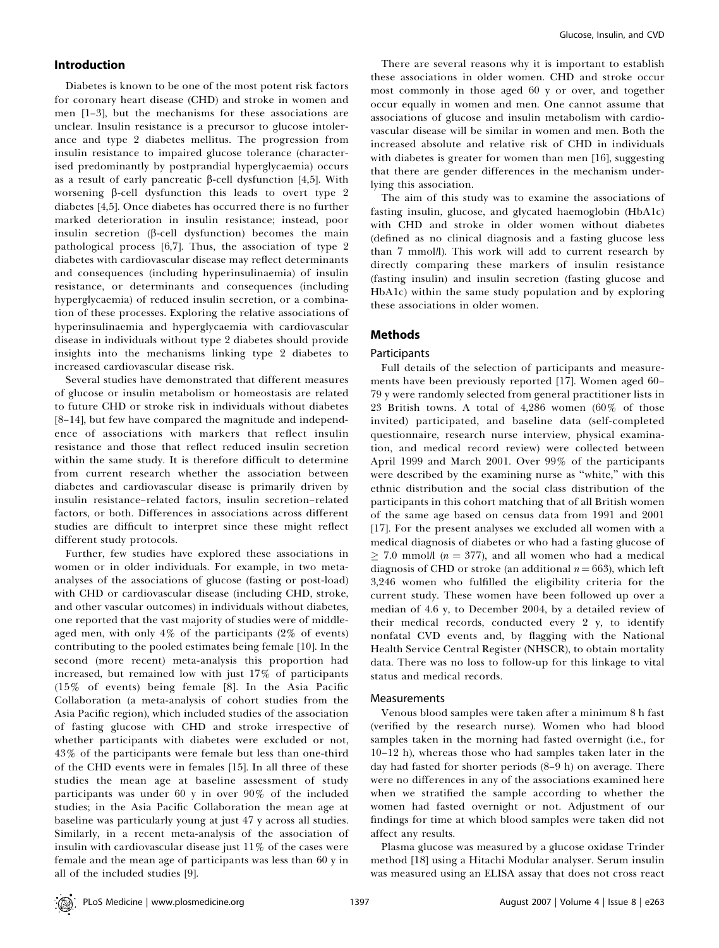## Introduction

Diabetes is known to be one of the most potent risk factors for coronary heart disease (CHD) and stroke in women and men [1–3], but the mechanisms for these associations are unclear. Insulin resistance is a precursor to glucose intolerance and type 2 diabetes mellitus. The progression from insulin resistance to impaired glucose tolerance (characterised predominantly by postprandial hyperglycaemia) occurs as a result of early pancreatic  $\beta$ -cell dysfunction [4,5]. With worsening  $\beta$ -cell dysfunction this leads to overt type 2 diabetes [4,5]. Once diabetes has occurred there is no further marked deterioration in insulin resistance; instead, poor insulin secretion ( $\beta$ -cell dysfunction) becomes the main pathological process [6,7]. Thus, the association of type 2 diabetes with cardiovascular disease may reflect determinants and consequences (including hyperinsulinaemia) of insulin resistance, or determinants and consequences (including hyperglycaemia) of reduced insulin secretion, or a combination of these processes. Exploring the relative associations of hyperinsulinaemia and hyperglycaemia with cardiovascular disease in individuals without type 2 diabetes should provide insights into the mechanisms linking type 2 diabetes to increased cardiovascular disease risk.

Several studies have demonstrated that different measures of glucose or insulin metabolism or homeostasis are related to future CHD or stroke risk in individuals without diabetes [8–14], but few have compared the magnitude and independence of associations with markers that reflect insulin resistance and those that reflect reduced insulin secretion within the same study. It is therefore difficult to determine from current research whether the association between diabetes and cardiovascular disease is primarily driven by insulin resistance–related factors, insulin secretion–related factors, or both. Differences in associations across different studies are difficult to interpret since these might reflect different study protocols.

Further, few studies have explored these associations in women or in older individuals. For example, in two metaanalyses of the associations of glucose (fasting or post-load) with CHD or cardiovascular disease (including CHD, stroke, and other vascular outcomes) in individuals without diabetes, one reported that the vast majority of studies were of middleaged men, with only  $4\%$  of the participants ( $2\%$  of events) contributing to the pooled estimates being female [10]. In the second (more recent) meta-analysis this proportion had increased, but remained low with just 17% of participants (15% of events) being female [8]. In the Asia Pacific Collaboration (a meta-analysis of cohort studies from the Asia Pacific region), which included studies of the association of fasting glucose with CHD and stroke irrespective of whether participants with diabetes were excluded or not, 43% of the participants were female but less than one-third of the CHD events were in females [15]. In all three of these studies the mean age at baseline assessment of study participants was under 60 y in over 90% of the included studies; in the Asia Pacific Collaboration the mean age at baseline was particularly young at just 47 y across all studies. Similarly, in a recent meta-analysis of the association of insulin with cardiovascular disease just  $11\%$  of the cases were female and the mean age of participants was less than 60 y in all of the included studies [9].

There are several reasons why it is important to establish these associations in older women. CHD and stroke occur most commonly in those aged 60 y or over, and together occur equally in women and men. One cannot assume that associations of glucose and insulin metabolism with cardiovascular disease will be similar in women and men. Both the increased absolute and relative risk of CHD in individuals with diabetes is greater for women than men [16], suggesting that there are gender differences in the mechanism underlying this association.

The aim of this study was to examine the associations of fasting insulin, glucose, and glycated haemoglobin (HbA1c) with CHD and stroke in older women without diabetes (defined as no clinical diagnosis and a fasting glucose less than 7 mmol/l). This work will add to current research by directly comparing these markers of insulin resistance (fasting insulin) and insulin secretion (fasting glucose and HbA1c) within the same study population and by exploring these associations in older women.

## Methods

#### **Participants**

Full details of the selection of participants and measurements have been previously reported [17]. Women aged 60– 79 y were randomly selected from general practitioner lists in 23 British towns. A total of 4,286 women (60% of those invited) participated, and baseline data (self-completed questionnaire, research nurse interview, physical examination, and medical record review) were collected between April 1999 and March 2001. Over 99% of the participants were described by the examining nurse as ''white,'' with this ethnic distribution and the social class distribution of the participants in this cohort matching that of all British women of the same age based on census data from 1991 and 2001 [17]. For the present analyses we excluded all women with a medical diagnosis of diabetes or who had a fasting glucose of  $\geq$  7.0 mmol/l (*n* = 377), and all women who had a medical diagnosis of CHD or stroke (an additional  $n = 663$ ), which left 3,246 women who fulfilled the eligibility criteria for the current study. These women have been followed up over a median of 4.6 y, to December 2004, by a detailed review of their medical records, conducted every 2 y, to identify nonfatal CVD events and, by flagging with the National Health Service Central Register (NHSCR), to obtain mortality data. There was no loss to follow-up for this linkage to vital status and medical records.

#### Measurements

Venous blood samples were taken after a minimum 8 h fast (verified by the research nurse). Women who had blood samples taken in the morning had fasted overnight (i.e., for 10–12 h), whereas those who had samples taken later in the day had fasted for shorter periods (8–9 h) on average. There were no differences in any of the associations examined here when we stratified the sample according to whether the women had fasted overnight or not. Adjustment of our findings for time at which blood samples were taken did not affect any results.

Plasma glucose was measured by a glucose oxidase Trinder method [18] using a Hitachi Modular analyser. Serum insulin was measured using an ELISA assay that does not cross react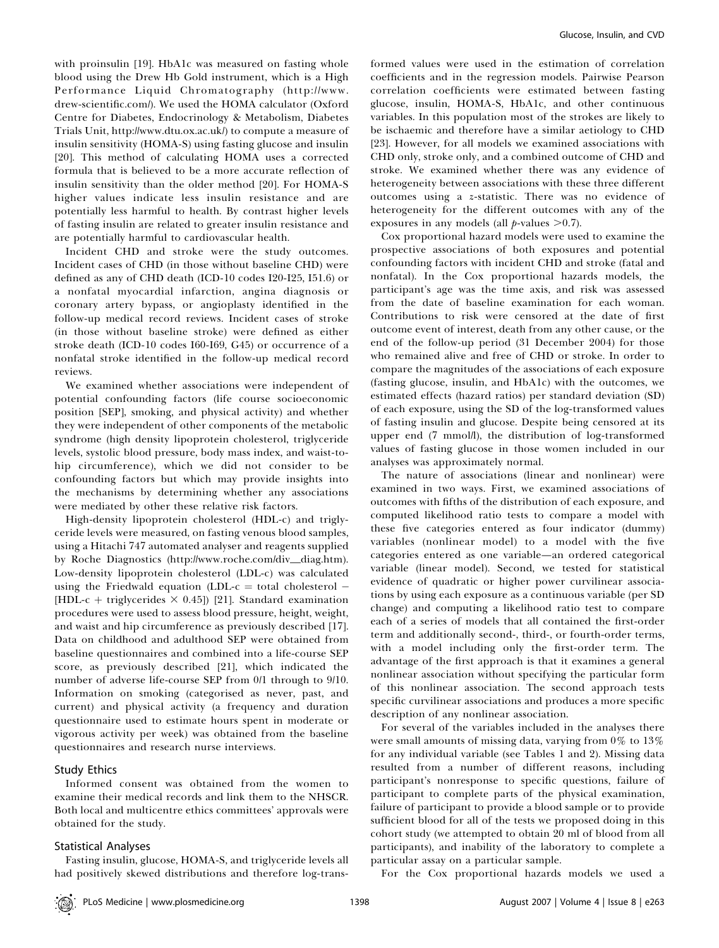with proinsulin [19]. HbA1c was measured on fasting whole blood using the Drew Hb Gold instrument, which is a High Performance Liquid Chromatography (http://www. drew-scientific.com/). We used the HOMA calculator (Oxford Centre for Diabetes, Endocrinology & Metabolism, Diabetes Trials Unit, http://www.dtu.ox.ac.uk/) to compute a measure of insulin sensitivity (HOMA-S) using fasting glucose and insulin [20]. This method of calculating HOMA uses a corrected formula that is believed to be a more accurate reflection of insulin sensitivity than the older method [20]. For HOMA-S higher values indicate less insulin resistance and are potentially less harmful to health. By contrast higher levels of fasting insulin are related to greater insulin resistance and are potentially harmful to cardiovascular health.

Incident CHD and stroke were the study outcomes. Incident cases of CHD (in those without baseline CHD) were defined as any of CHD death (ICD-10 codes I20-I25, I51.6) or a nonfatal myocardial infarction, angina diagnosis or coronary artery bypass, or angioplasty identified in the follow-up medical record reviews. Incident cases of stroke (in those without baseline stroke) were defined as either stroke death (ICD-10 codes I60-I69, G45) or occurrence of a nonfatal stroke identified in the follow-up medical record reviews.

We examined whether associations were independent of potential confounding factors (life course socioeconomic position [SEP], smoking, and physical activity) and whether they were independent of other components of the metabolic syndrome (high density lipoprotein cholesterol, triglyceride levels, systolic blood pressure, body mass index, and waist-tohip circumference), which we did not consider to be confounding factors but which may provide insights into the mechanisms by determining whether any associations were mediated by other these relative risk factors.

High-density lipoprotein cholesterol (HDL-c) and triglyceride levels were measured, on fasting venous blood samples, using a Hitachi 747 automated analyser and reagents supplied by Roche Diagnostics (http://www.roche.com/div\_diag.htm). Low-density lipoprotein cholesterol (LDL-c) was calculated using the Friedwald equation (LDL-c  $=$  total cholesterol  $-$ [HDL-c + triglycerides  $\times$  0.45]) [21]. Standard examination procedures were used to assess blood pressure, height, weight, and waist and hip circumference as previously described [17]. Data on childhood and adulthood SEP were obtained from baseline questionnaires and combined into a life-course SEP score, as previously described [21], which indicated the number of adverse life-course SEP from 0/1 through to 9/10. Information on smoking (categorised as never, past, and current) and physical activity (a frequency and duration questionnaire used to estimate hours spent in moderate or vigorous activity per week) was obtained from the baseline questionnaires and research nurse interviews.

## Study Ethics

Informed consent was obtained from the women to examine their medical records and link them to the NHSCR. Both local and multicentre ethics committees' approvals were obtained for the study.

#### Statistical Analyses

Fasting insulin, glucose, HOMA-S, and triglyceride levels all had positively skewed distributions and therefore log-trans-

formed values were used in the estimation of correlation coefficients and in the regression models. Pairwise Pearson correlation coefficients were estimated between fasting glucose, insulin, HOMA-S, HbA1c, and other continuous variables. In this population most of the strokes are likely to be ischaemic and therefore have a similar aetiology to CHD [23]. However, for all models we examined associations with CHD only, stroke only, and a combined outcome of CHD and stroke. We examined whether there was any evidence of heterogeneity between associations with these three different outcomes using a z-statistic. There was no evidence of heterogeneity for the different outcomes with any of the exposures in any models (all  $p$ -values  $>0.7$ ).

Cox proportional hazard models were used to examine the prospective associations of both exposures and potential confounding factors with incident CHD and stroke (fatal and nonfatal). In the Cox proportional hazards models, the participant's age was the time axis, and risk was assessed from the date of baseline examination for each woman. Contributions to risk were censored at the date of first outcome event of interest, death from any other cause, or the end of the follow-up period (31 December 2004) for those who remained alive and free of CHD or stroke. In order to compare the magnitudes of the associations of each exposure (fasting glucose, insulin, and HbA1c) with the outcomes, we estimated effects (hazard ratios) per standard deviation (SD) of each exposure, using the SD of the log-transformed values of fasting insulin and glucose. Despite being censored at its upper end (7 mmol/l), the distribution of log-transformed values of fasting glucose in those women included in our analyses was approximately normal.

The nature of associations (linear and nonlinear) were examined in two ways. First, we examined associations of outcomes with fifths of the distribution of each exposure, and computed likelihood ratio tests to compare a model with these five categories entered as four indicator (dummy) variables (nonlinear model) to a model with the five categories entered as one variable—an ordered categorical variable (linear model). Second, we tested for statistical evidence of quadratic or higher power curvilinear associations by using each exposure as a continuous variable (per SD change) and computing a likelihood ratio test to compare each of a series of models that all contained the first-order term and additionally second-, third-, or fourth-order terms, with a model including only the first-order term. The advantage of the first approach is that it examines a general nonlinear association without specifying the particular form of this nonlinear association. The second approach tests specific curvilinear associations and produces a more specific description of any nonlinear association.

For several of the variables included in the analyses there were small amounts of missing data, varying from 0% to 13% for any individual variable (see Tables 1 and 2). Missing data resulted from a number of different reasons, including participant's nonresponse to specific questions, failure of participant to complete parts of the physical examination, failure of participant to provide a blood sample or to provide sufficient blood for all of the tests we proposed doing in this cohort study (we attempted to obtain 20 ml of blood from all participants), and inability of the laboratory to complete a particular assay on a particular sample.

For the Cox proportional hazards models we used a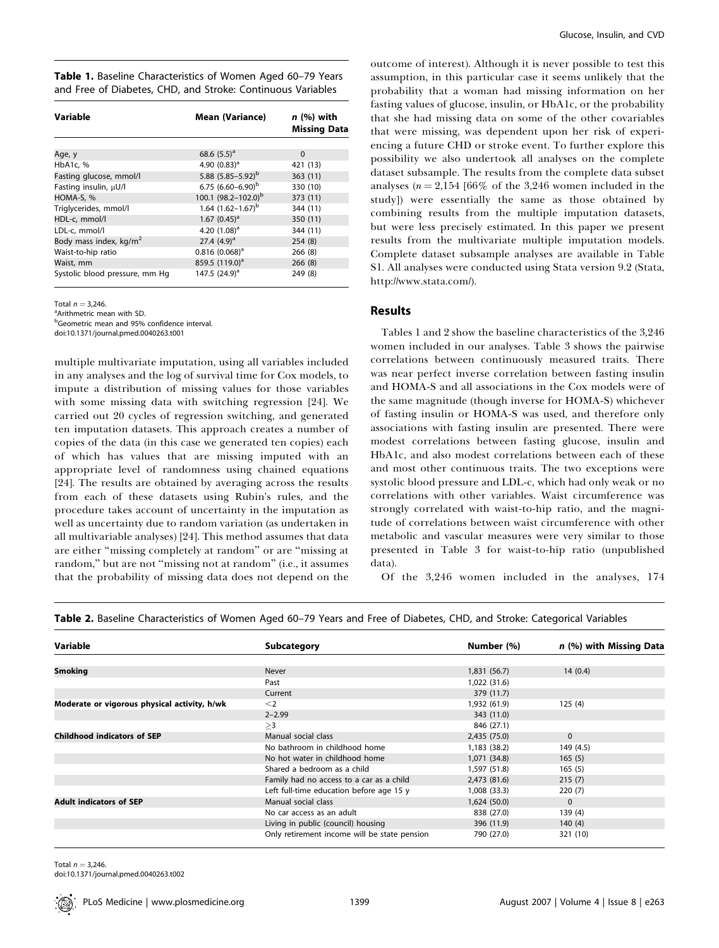Table 1. Baseline Characteristics of Women Aged 60–79 Years and Free of Diabetes, CHD, and Stroke: Continuous Variables

| Variable                           | Mean (Variance)                 | $n$ (%) with<br><b>Missing Data</b> |
|------------------------------------|---------------------------------|-------------------------------------|
|                                    |                                 |                                     |
| Age, y                             | 68.6 $(5.5)^a$                  | $\Omega$                            |
| HbA1c, %                           | 4.90 $(0.83)^a$                 | 421 (13)                            |
| Fasting glucose, mmol/l            | 5.88 $(5.85 - 5.92)^b$          | 363 (11)                            |
| Fasting insulin, $\mu$ U/l         | 6.75 $(6.60 - 6.90)^b$          | 330 (10)                            |
| HOMA-S, %                          | 100.1 (98.2-102.0) <sup>b</sup> | 373 (11)                            |
| Triglycerides, mmol/l              | 1.64 $(1.62 - 1.67)^b$          | 344 (11)                            |
| HDL-c, mmol/l                      | $1.67 (0.45)^a$                 | 350 (11)                            |
| LDL-c, mmol/l                      | 4.20 $(1.08)^a$                 | 344 (11)                            |
| Body mass index, kg/m <sup>2</sup> | 27.4 $(4.9)^a$                  | 254(8)                              |
| Waist-to-hip ratio                 | $0.816(0.068)^a$                | 266(8)                              |
| Waist, mm                          | 859.5 (119.0) <sup>a</sup>      | 266(8)                              |
| Systolic blood pressure, mm Hg     | 147.5 $(24.9)^a$                | 249 (8)                             |

Total  $n = 3.246$ .

Arithmetric mean with SD.

b Geometric mean and 95% confidence interval.

doi:10.1371/journal.pmed.0040263.t001

multiple multivariate imputation, using all variables included in any analyses and the log of survival time for Cox models, to impute a distribution of missing values for those variables with some missing data with switching regression [24]. We carried out 20 cycles of regression switching, and generated ten imputation datasets. This approach creates a number of copies of the data (in this case we generated ten copies) each of which has values that are missing imputed with an appropriate level of randomness using chained equations [24]. The results are obtained by averaging across the results from each of these datasets using Rubin's rules, and the procedure takes account of uncertainty in the imputation as well as uncertainty due to random variation (as undertaken in all multivariable analyses) [24]. This method assumes that data are either ''missing completely at random'' or are ''missing at random,'' but are not ''missing not at random'' (i.e., it assumes that the probability of missing data does not depend on the

outcome of interest). Although it is never possible to test this assumption, in this particular case it seems unlikely that the probability that a woman had missing information on her fasting values of glucose, insulin, or HbA1c, or the probability that she had missing data on some of the other covariables that were missing, was dependent upon her risk of experiencing a future CHD or stroke event. To further explore this possibility we also undertook all analyses on the complete dataset subsample. The results from the complete data subset analyses ( $n = 2,154$  [66% of the 3,246 women included in the study]) were essentially the same as those obtained by combining results from the multiple imputation datasets, but were less precisely estimated. In this paper we present results from the multivariate multiple imputation models. Complete dataset subsample analyses are available in Table S1. All analyses were conducted using Stata version 9.2 (Stata, http://www.stata.com/).

## Results

Tables 1 and 2 show the baseline characteristics of the 3,246 women included in our analyses. Table 3 shows the pairwise correlations between continuously measured traits. There was near perfect inverse correlation between fasting insulin and HOMA-S and all associations in the Cox models were of the same magnitude (though inverse for HOMA-S) whichever of fasting insulin or HOMA-S was used, and therefore only associations with fasting insulin are presented. There were modest correlations between fasting glucose, insulin and HbA1c, and also modest correlations between each of these and most other continuous traits. The two exceptions were systolic blood pressure and LDL-c, which had only weak or no correlations with other variables. Waist circumference was strongly correlated with waist-to-hip ratio, and the magnitude of correlations between waist circumference with other metabolic and vascular measures were very similar to those presented in Table 3 for waist-to-hip ratio (unpublished data).

Of the 3,246 women included in the analyses, 174

Table 2. Baseline Characteristics of Women Aged 60–79 Years and Free of Diabetes, CHD, and Stroke: Categorical Variables

| <b>Variable</b>                              | Subcategory                                  | Number (%)   | n (%) with Missing Data |
|----------------------------------------------|----------------------------------------------|--------------|-------------------------|
|                                              |                                              |              |                         |
| Smoking                                      | Never                                        | 1,831 (56.7) | 14(0.4)                 |
|                                              | Past                                         | 1,022 (31.6) |                         |
|                                              | Current                                      | 379 (11.7)   |                         |
| Moderate or vigorous physical activity, h/wk | $\leq$ 2                                     | 1,932 (61.9) | 125(4)                  |
|                                              | $2 - 2.99$                                   | 343 (11.0)   |                         |
|                                              | >3                                           | 846 (27.1)   |                         |
| <b>Childhood indicators of SEP</b>           | Manual social class                          | 2,435 (75.0) | $\mathbf{0}$            |
|                                              | No bathroom in childhood home                | 1,183 (38.2) | 149 (4.5)               |
|                                              | No hot water in childhood home               | 1,071 (34.8) | 165(5)                  |
|                                              | Shared a bedroom as a child                  | 1,597 (51.8) | 165(5)                  |
|                                              | Family had no access to a car as a child     | 2,473 (81.6) | 215(7)                  |
|                                              | Left full-time education before age 15 y     | 1,008 (33.3) | 220(7)                  |
| <b>Adult indicators of SEP</b>               | Manual social class                          | 1,624 (50.0) | $\mathbf{0}$            |
|                                              | No car access as an adult                    | 838 (27.0)   | 139(4)                  |
|                                              | Living in public (council) housing           | 396 (11.9)   | 140(4)                  |
|                                              | Only retirement income will be state pension | 790 (27.0)   | 321 (10)                |

Total  $n = 3,246$ . doi:10.1371/journal.pmed.0040263.t002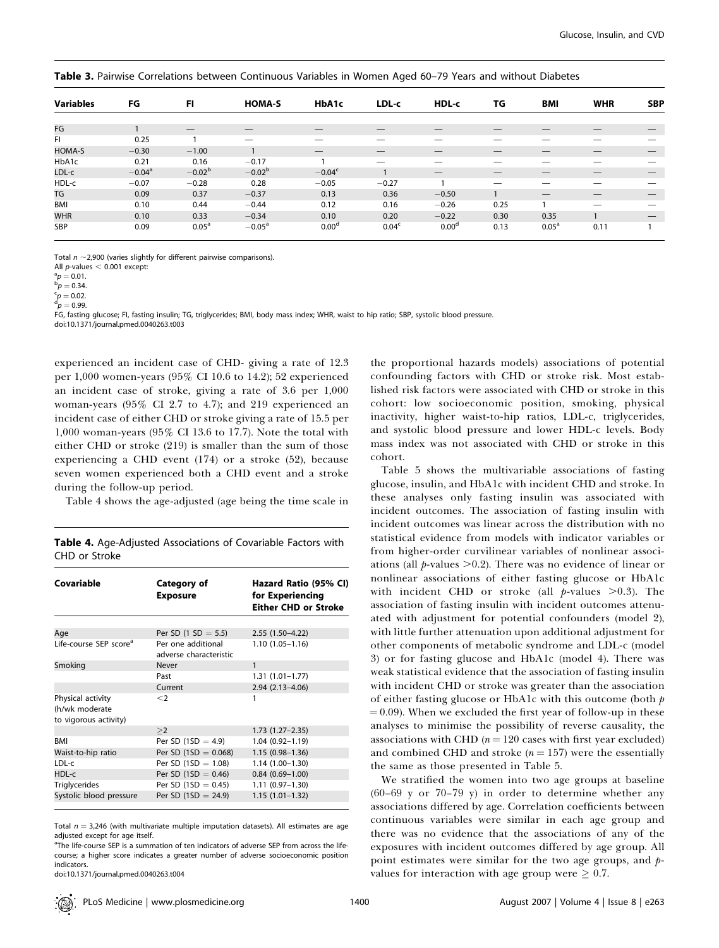Table 3. Pairwise Correlations between Continuous Variables in Women Aged 60-79 Years and without Diabetes

| <b>Variables</b> | FG                 | FI.                             | <b>HOMA-S</b>      | HbA1c                           | LDL-c                    | <b>HDL-c</b>      | TG   | <b>BMI</b>        | <b>WHR</b>      | <b>SBP</b>      |
|------------------|--------------------|---------------------------------|--------------------|---------------------------------|--------------------------|-------------------|------|-------------------|-----------------|-----------------|
|                  |                    |                                 |                    |                                 |                          |                   |      |                   |                 |                 |
| FG               |                    | $\hspace{0.1mm}-\hspace{0.1mm}$ | $\qquad \qquad$    |                                 |                          |                   | __   |                   |                 |                 |
| FI.              | 0.25               |                                 |                    | $\hspace{0.05cm}$               |                          | _                 |      | __                | _               |                 |
| HOMA-S           | $-0.30$            | $-1.00$                         |                    | $\hspace{0.1mm}-\hspace{0.1mm}$ |                          |                   |      | $\qquad \qquad$   | $\qquad \qquad$ | $\qquad \qquad$ |
| HbA1c            | 0.21               | 0.16                            | $-0.17$            |                                 | $\overline{\phantom{m}}$ |                   |      | __                |                 |                 |
| LDL-c            | $-0.04^{\text{a}}$ | $-0.02^b$                       | $-0.02^b$          | $-0.04c$                        |                          |                   |      |                   |                 |                 |
| HDL-c            | $-0.07$            | $-0.28$                         | 0.28               | $-0.05$                         | $-0.27$                  |                   |      | __                |                 |                 |
| TG               | 0.09               | 0.37                            | $-0.37$            | 0.13                            | 0.36                     | $-0.50$           |      | $\qquad \qquad$   |                 |                 |
| BMI              | 0.10               | 0.44                            | $-0.44$            | 0.12                            | 0.16                     | $-0.26$           | 0.25 |                   |                 |                 |
| <b>WHR</b>       | 0.10               | 0.33                            | $-0.34$            | 0.10                            | 0.20                     | $-0.22$           | 0.30 | 0.35              |                 |                 |
| SBP              | 0.09               | $0.05^{\text{a}}$               | $-0.05^{\text{a}}$ | 0.00 <sup>d</sup>               | 0.04 <sup>c</sup>        | 0.00 <sup>d</sup> | 0.13 | $0.05^{\text{a}}$ | 0.11            |                 |

Total  $n \sim$ 2,900 (varies slightly for different pairwise comparisons).

All  $p$ -values  $<$  0.001 except:

 $\sigma^a p = 0.01$ .

 $^{\rm b}$ *p*  $=$  0.34.

 $^{\mathsf{c}} p = 0.02.$ <br> $^{\mathsf{d}} p = 0.99.$ 

FG, fasting glucose; FI, fasting insulin; TG, triglycerides; BMI, body mass index; WHR, waist to hip ratio; SBP, systolic blood pressure.

doi:10.1371/journal.pmed.0040263.t003

experienced an incident case of CHD- giving a rate of 12.3 per 1,000 women-years (95% CI 10.6 to 14.2); 52 experienced an incident case of stroke, giving a rate of 3.6 per 1,000 woman-years (95% CI 2.7 to 4.7); and 219 experienced an incident case of either CHD or stroke giving a rate of 15.5 per 1,000 woman-years (95% CI 13.6 to 17.7). Note the total with either CHD or stroke (219) is smaller than the sum of those experiencing a CHD event (174) or a stroke (52), because seven women experienced both a CHD event and a stroke during the follow-up period.

Table 4 shows the age-adjusted (age being the time scale in

| <b>Table 4.</b> Age-Adjusted Associations of Covariable Factors with |  |  |
|----------------------------------------------------------------------|--|--|
| CHD or Stroke                                                        |  |  |

| Covariable                                                   | Category of<br><b>Exposure</b>                                        | Hazard Ratio (95% CI)<br>for Experiencing<br><b>Either CHD or Stroke</b> |
|--------------------------------------------------------------|-----------------------------------------------------------------------|--------------------------------------------------------------------------|
|                                                              |                                                                       |                                                                          |
| Age<br>Life-course SEP score <sup>a</sup>                    | Per SD $(1 SD = 5.5)$<br>Per one additional<br>adverse characteristic | $2.55(1.50-4.22)$<br>$1.10(1.05 - 1.16)$                                 |
| Smoking                                                      | Never                                                                 | $\mathbf{1}$                                                             |
|                                                              | Past                                                                  | $1.31(1.01 - 1.77)$                                                      |
|                                                              | Current                                                               | $2.94(2.13 - 4.06)$                                                      |
| Physical activity<br>(h/wk moderate<br>to vigorous activity) | $\mathord{<}2$                                                        | 1                                                                        |
|                                                              | >2                                                                    | $1.73(1.27 - 2.35)$                                                      |
| <b>BMI</b>                                                   | Per SD $(1SD = 4.9)$                                                  | 1.04 (0.92-1.19)                                                         |
| Waist-to-hip ratio                                           | Per SD $(1SD = 0.068)$                                                | $1.15(0.98 - 1.36)$                                                      |
| LDL-c                                                        | Per SD $(1SD = 1.08)$                                                 | $1.14(1.00-1.30)$                                                        |
| HDL-c                                                        | Per SD $(1SD = 0.46)$                                                 | $0.84(0.69 - 1.00)$                                                      |
| <b>Triglycerides</b>                                         | Per SD $(1SD = 0.45)$                                                 | $1.11(0.97 - 1.30)$                                                      |
| Systolic blood pressure                                      | Per SD $(1SD = 24.9)$                                                 | $1.15(1.01 - 1.32)$                                                      |

Total  $n = 3,246$  (with multivariate multiple imputation datasets). All estimates are age adjusted except for age itself.

doi:10.1371/journal.pmed.0040263.t004

the proportional hazards models) associations of potential confounding factors with CHD or stroke risk. Most established risk factors were associated with CHD or stroke in this cohort: low socioeconomic position, smoking, physical inactivity, higher waist-to-hip ratios, LDL-c, triglycerides, and systolic blood pressure and lower HDL-c levels. Body mass index was not associated with CHD or stroke in this cohort.

Table 5 shows the multivariable associations of fasting glucose, insulin, and HbA1c with incident CHD and stroke. In these analyses only fasting insulin was associated with incident outcomes. The association of fasting insulin with incident outcomes was linear across the distribution with no statistical evidence from models with indicator variables or from higher-order curvilinear variables of nonlinear associations (all  $p$ -values  $> 0.2$ ). There was no evidence of linear or nonlinear associations of either fasting glucose or HbA1c with incident CHD or stroke (all  $p$ -values  $>0.3$ ). The association of fasting insulin with incident outcomes attenuated with adjustment for potential confounders (model 2), with little further attenuation upon additional adjustment for other components of metabolic syndrome and LDL-c (model 3) or for fasting glucose and HbA1c (model 4). There was weak statistical evidence that the association of fasting insulin with incident CHD or stroke was greater than the association of either fasting glucose or HbA1c with this outcome (both  $\boldsymbol{p}$  $\mu = 0.09$ ). When we excluded the first year of follow-up in these analyses to minimise the possibility of reverse causality, the associations with CHD ( $n = 120$  cases with first year excluded) and combined CHD and stroke  $(n = 157)$  were the essentially the same as those presented in Table 5.

We stratified the women into two age groups at baseline  $(60-69 \text{ y or } 70-79 \text{ y})$  in order to determine whether any associations differed by age. Correlation coefficients between continuous variables were similar in each age group and there was no evidence that the associations of any of the exposures with incident outcomes differed by age group. All point estimates were similar for the two age groups, and  $p$ values for interaction with age group were  $\geq 0.7.$ 

<sup>&</sup>lt;sup>a</sup>The life-course SEP is a summation of ten indicators of adverse SEP from across the lifecourse; a higher score indicates a greater number of adverse socioeconomic position indicators.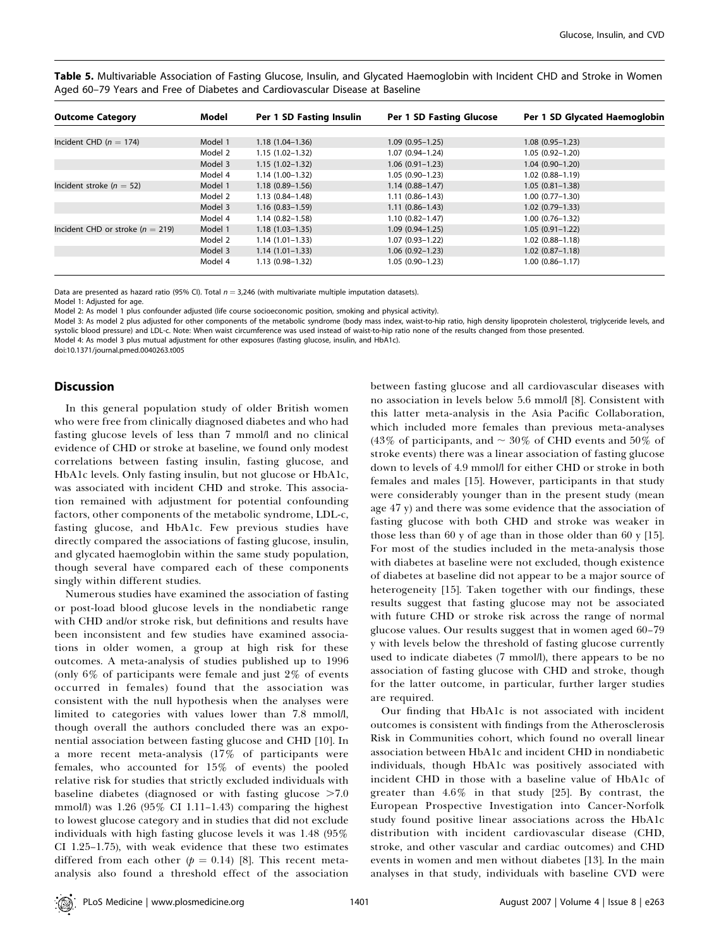Table 5. Multivariable Association of Fasting Glucose, Insulin, and Glycated Haemoglobin with Incident CHD and Stroke in Women Aged 60–79 Years and Free of Diabetes and Cardiovascular Disease at Baseline

| <b>Outcome Category</b>              | Model   | Per 1 SD Fasting Insulin | <b>Per 1 SD Fasting Glucose</b> | Per 1 SD Glycated Haemoglobin |
|--------------------------------------|---------|--------------------------|---------------------------------|-------------------------------|
|                                      |         |                          |                                 |                               |
| Incident CHD ( $n = 174$ )           | Model 1 | $1.18(1.04-1.36)$        | $1.09(0.95 - 1.25)$             | $1.08(0.95 - 1.23)$           |
|                                      | Model 2 | $1.15(1.02 - 1.32)$      | $1.07(0.94 - 1.24)$             | $1.05(0.92 - 1.20)$           |
|                                      | Model 3 | $1.15(1.02 - 1.32)$      | $1.06(0.91 - 1.23)$             | $1.04(0.90 - 1.20)$           |
|                                      | Model 4 | $1.14(1.00-1.32)$        | $1.05(0.90-1.23)$               | $1.02(0.88 - 1.19)$           |
| Incident stroke ( $n = 52$ )         | Model 1 | $1.18(0.89 - 1.56)$      | $1.14(0.88 - 1.47)$             | $1.05(0.81 - 1.38)$           |
|                                      | Model 2 | $1.13(0.84 - 1.48)$      | $1.11(0.86 - 1.43)$             | $1.00(0.77 - 1.30)$           |
|                                      | Model 3 | $1.16(0.83 - 1.59)$      | $1.11(0.86 - 1.43)$             | $1.02(0.79-1.33)$             |
|                                      | Model 4 | $1.14(0.82 - 1.58)$      | $1.10(0.82 - 1.47)$             | $1.00(0.76 - 1.32)$           |
| Incident CHD or stroke ( $n = 219$ ) | Model 1 | $1.18(1.03 - 1.35)$      | $1.09(0.94 - 1.25)$             | $1.05(0.91 - 1.22)$           |
|                                      | Model 2 | $1.14(1.01 - 1.33)$      | $1.07(0.93 - 1.22)$             | $1.02(0.88 - 1.18)$           |
|                                      | Model 3 | $1.14(1.01-1.33)$        | $1.06(0.92 - 1.23)$             | $1.02(0.87 - 1.18)$           |
|                                      | Model 4 | $1.13(0.98-1.32)$        | $1.05(0.90 - 1.23)$             | $1.00(0.86 - 1.17)$           |

Data are presented as hazard ratio (95% CI). Total  $n = 3,246$  (with multivariate multiple imputation datasets).

Model 1: Adjusted for age.

Model 2: As model 1 plus confounder adjusted (life course socioeconomic position, smoking and physical activity).

Model 3: As model 2 plus adjusted for other components of the metabolic syndrome (body mass index, waist-to-hip ratio, high density lipoprotein cholesterol, triglyceride levels, and systolic blood pressure) and LDL-c. Note: When waist circumference was used instead of waist-to-hip ratio none of the results changed from those presented.

Model 4: As model 3 plus mutual adjustment for other exposures (fasting glucose, insulin, and HbA1c).

doi:10.1371/journal.pmed.0040263.t005

## **Discussion**

In this general population study of older British women who were free from clinically diagnosed diabetes and who had fasting glucose levels of less than 7 mmol/l and no clinical evidence of CHD or stroke at baseline, we found only modest correlations between fasting insulin, fasting glucose, and HbA1c levels. Only fasting insulin, but not glucose or HbA1c, was associated with incident CHD and stroke. This association remained with adjustment for potential confounding factors, other components of the metabolic syndrome, LDL-c, fasting glucose, and HbA1c. Few previous studies have directly compared the associations of fasting glucose, insulin, and glycated haemoglobin within the same study population, though several have compared each of these components singly within different studies.

Numerous studies have examined the association of fasting or post-load blood glucose levels in the nondiabetic range with CHD and/or stroke risk, but definitions and results have been inconsistent and few studies have examined associations in older women, a group at high risk for these outcomes. A meta-analysis of studies published up to 1996 (only 6% of participants were female and just 2% of events occurred in females) found that the association was consistent with the null hypothesis when the analyses were limited to categories with values lower than 7.8 mmol/l, though overall the authors concluded there was an exponential association between fasting glucose and CHD [10]. In a more recent meta-analysis (17% of participants were females, who accounted for 15% of events) the pooled relative risk for studies that strictly excluded individuals with baseline diabetes (diagnosed or with fasting glucose  $>7.0$ mmol/l) was 1.26 (95% CI 1.11–1.43) comparing the highest to lowest glucose category and in studies that did not exclude individuals with high fasting glucose levels it was 1.48 (95% CI 1.25–1.75), with weak evidence that these two estimates differed from each other ( $p = 0.14$ ) [8]. This recent metaanalysis also found a threshold effect of the association

between fasting glucose and all cardiovascular diseases with no association in levels below 5.6 mmol/l [8]. Consistent with this latter meta-analysis in the Asia Pacific Collaboration, which included more females than previous meta-analyses (43% of participants, and  $\sim$  30% of CHD events and 50% of stroke events) there was a linear association of fasting glucose down to levels of 4.9 mmol/l for either CHD or stroke in both females and males [15]. However, participants in that study were considerably younger than in the present study (mean age 47 y) and there was some evidence that the association of fasting glucose with both CHD and stroke was weaker in those less than 60 y of age than in those older than 60 y [15]. For most of the studies included in the meta-analysis those with diabetes at baseline were not excluded, though existence of diabetes at baseline did not appear to be a major source of heterogeneity [15]. Taken together with our findings, these results suggest that fasting glucose may not be associated with future CHD or stroke risk across the range of normal glucose values. Our results suggest that in women aged 60–79 y with levels below the threshold of fasting glucose currently used to indicate diabetes (7 mmol/l), there appears to be no association of fasting glucose with CHD and stroke, though for the latter outcome, in particular, further larger studies are required.

Our finding that HbA1c is not associated with incident outcomes is consistent with findings from the Atherosclerosis Risk in Communities cohort, which found no overall linear association between HbA1c and incident CHD in nondiabetic individuals, though HbA1c was positively associated with incident CHD in those with a baseline value of HbA1c of greater than 4.6% in that study [25]. By contrast, the European Prospective Investigation into Cancer-Norfolk study found positive linear associations across the HbA1c distribution with incident cardiovascular disease (CHD, stroke, and other vascular and cardiac outcomes) and CHD events in women and men without diabetes [13]. In the main analyses in that study, individuals with baseline CVD were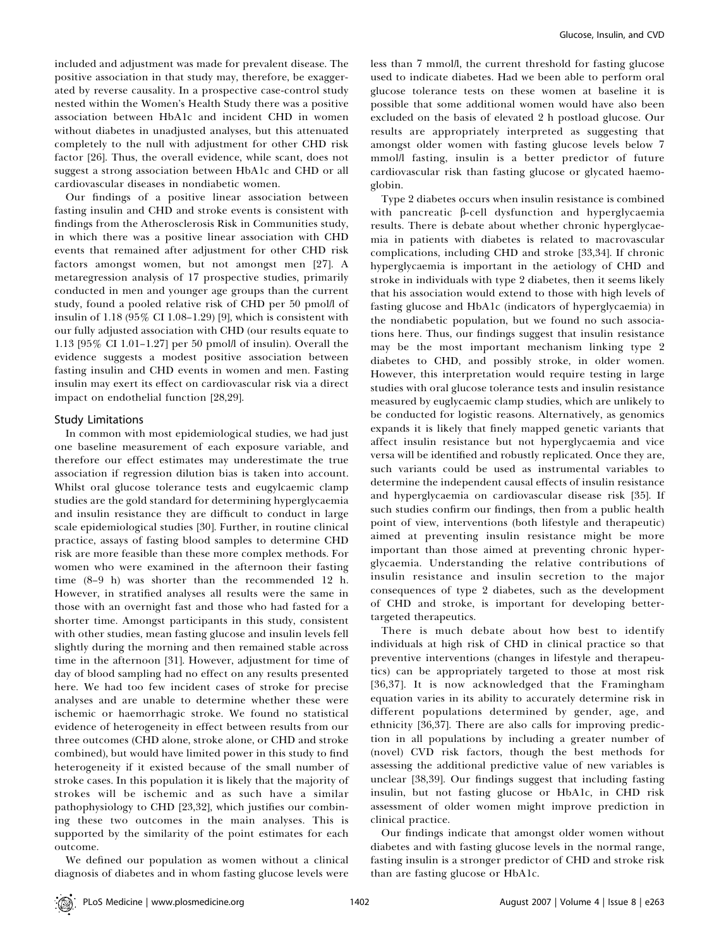included and adjustment was made for prevalent disease. The positive association in that study may, therefore, be exaggerated by reverse causality. In a prospective case-control study nested within the Women's Health Study there was a positive association between HbA1c and incident CHD in women without diabetes in unadjusted analyses, but this attenuated completely to the null with adjustment for other CHD risk factor [26]. Thus, the overall evidence, while scant, does not suggest a strong association between HbA1c and CHD or all cardiovascular diseases in nondiabetic women.

Our findings of a positive linear association between fasting insulin and CHD and stroke events is consistent with findings from the Atherosclerosis Risk in Communities study, in which there was a positive linear association with CHD events that remained after adjustment for other CHD risk factors amongst women, but not amongst men [27]. A metaregression analysis of 17 prospective studies, primarily conducted in men and younger age groups than the current study, found a pooled relative risk of CHD per 50 pmol/l of insulin of 1.18 (95% CI 1.08–1.29) [9], which is consistent with our fully adjusted association with CHD (our results equate to 1.13 [95% CI 1.01–1.27] per 50 pmol/l of insulin). Overall the evidence suggests a modest positive association between fasting insulin and CHD events in women and men. Fasting insulin may exert its effect on cardiovascular risk via a direct impact on endothelial function [28,29].

#### Study Limitations

In common with most epidemiological studies, we had just one baseline measurement of each exposure variable, and therefore our effect estimates may underestimate the true association if regression dilution bias is taken into account. Whilst oral glucose tolerance tests and eugylcaemic clamp studies are the gold standard for determining hyperglycaemia and insulin resistance they are difficult to conduct in large scale epidemiological studies [30]. Further, in routine clinical practice, assays of fasting blood samples to determine CHD risk are more feasible than these more complex methods. For women who were examined in the afternoon their fasting time (8–9 h) was shorter than the recommended 12 h. However, in stratified analyses all results were the same in those with an overnight fast and those who had fasted for a shorter time. Amongst participants in this study, consistent with other studies, mean fasting glucose and insulin levels fell slightly during the morning and then remained stable across time in the afternoon [31]. However, adjustment for time of day of blood sampling had no effect on any results presented here. We had too few incident cases of stroke for precise analyses and are unable to determine whether these were ischemic or haemorrhagic stroke. We found no statistical evidence of heterogeneity in effect between results from our three outcomes (CHD alone, stroke alone, or CHD and stroke combined), but would have limited power in this study to find heterogeneity if it existed because of the small number of stroke cases. In this population it is likely that the majority of strokes will be ischemic and as such have a similar pathophysiology to CHD [23,32], which justifies our combining these two outcomes in the main analyses. This is supported by the similarity of the point estimates for each outcome.

We defined our population as women without a clinical diagnosis of diabetes and in whom fasting glucose levels were

less than 7 mmol/l, the current threshold for fasting glucose used to indicate diabetes. Had we been able to perform oral glucose tolerance tests on these women at baseline it is possible that some additional women would have also been excluded on the basis of elevated 2 h postload glucose. Our results are appropriately interpreted as suggesting that amongst older women with fasting glucose levels below 7 mmol/l fasting, insulin is a better predictor of future cardiovascular risk than fasting glucose or glycated haemoglobin.

Type 2 diabetes occurs when insulin resistance is combined with pancreatic  $\beta$ -cell dysfunction and hyperglycaemia results. There is debate about whether chronic hyperglycaemia in patients with diabetes is related to macrovascular complications, including CHD and stroke [33,34]. If chronic hyperglycaemia is important in the aetiology of CHD and stroke in individuals with type 2 diabetes, then it seems likely that his association would extend to those with high levels of fasting glucose and HbA1c (indicators of hyperglycaemia) in the nondiabetic population, but we found no such associations here. Thus, our findings suggest that insulin resistance may be the most important mechanism linking type 2 diabetes to CHD, and possibly stroke, in older women. However, this interpretation would require testing in large studies with oral glucose tolerance tests and insulin resistance measured by euglycaemic clamp studies, which are unlikely to be conducted for logistic reasons. Alternatively, as genomics expands it is likely that finely mapped genetic variants that affect insulin resistance but not hyperglycaemia and vice versa will be identified and robustly replicated. Once they are, such variants could be used as instrumental variables to determine the independent causal effects of insulin resistance and hyperglycaemia on cardiovascular disease risk [35]. If such studies confirm our findings, then from a public health point of view, interventions (both lifestyle and therapeutic) aimed at preventing insulin resistance might be more important than those aimed at preventing chronic hyperglycaemia. Understanding the relative contributions of insulin resistance and insulin secretion to the major consequences of type 2 diabetes, such as the development of CHD and stroke, is important for developing bettertargeted therapeutics.

There is much debate about how best to identify individuals at high risk of CHD in clinical practice so that preventive interventions (changes in lifestyle and therapeutics) can be appropriately targeted to those at most risk [36,37]. It is now acknowledged that the Framingham equation varies in its ability to accurately determine risk in different populations determined by gender, age, and ethnicity [36,37]. There are also calls for improving prediction in all populations by including a greater number of (novel) CVD risk factors, though the best methods for assessing the additional predictive value of new variables is unclear [38,39]. Our findings suggest that including fasting insulin, but not fasting glucose or HbA1c, in CHD risk assessment of older women might improve prediction in clinical practice.

Our findings indicate that amongst older women without diabetes and with fasting glucose levels in the normal range, fasting insulin is a stronger predictor of CHD and stroke risk than are fasting glucose or HbA1c.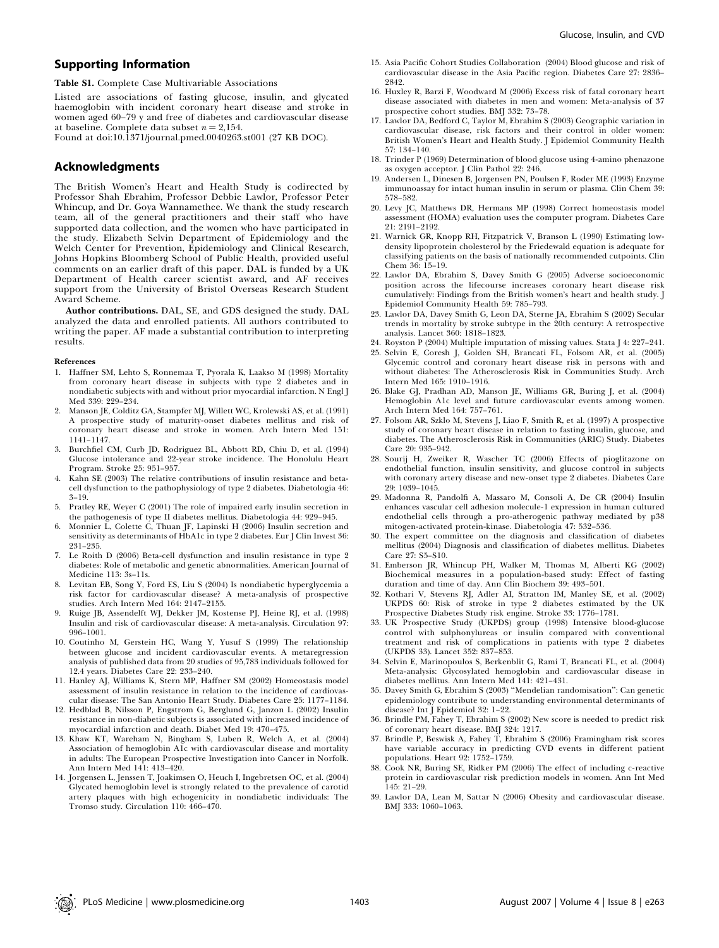## Supporting Information

Table S1. Complete Case Multivariable Associations

Listed are associations of fasting glucose, insulin, and glycated haemoglobin with incident coronary heart disease and stroke in women aged 60–79 y and free of diabetes and cardiovascular disease at baseline. Complete data subset  $n = 2,154$ .

Found at doi:10.1371/journal.pmed.0040263.st001 (27 KB DOC).

## Acknowledgments

The British Women's Heart and Health Study is codirected by Professor Shah Ebrahim, Professor Debbie Lawlor, Professor Peter Whincup, and Dr. Goya Wannamethee. We thank the study research team, all of the general practitioners and their staff who have supported data collection, and the women who have participated in the study. Elizabeth Selvin Department of Epidemiology and the Welch Center for Prevention, Epidemiology and Clinical Research, Johns Hopkins Bloomberg School of Public Health, provided useful comments on an earlier draft of this paper. DAL is funded by a UK Department of Health career scientist award, and AF receives support from the University of Bristol Overseas Research Student Award Scheme.

Author contributions. DAL, SE, and GDS designed the study. DAL analyzed the data and enrolled patients. All authors contributed to writing the paper. AF made a substantial contribution to interpreting results.

#### References

- 1. Haffner SM, Lehto S, Ronnemaa T, Pyorala K, Laakso M (1998) Mortality from coronary heart disease in subjects with type 2 diabetes and in nondiabetic subjects with and without prior myocardial infarction. N Engl J Med 339: 229–234.
- 2. Manson JE, Colditz GA, Stampfer MJ, Willett WC, Krolewski AS, et al. (1991) A prospective study of maturity-onset diabetes mellitus and risk of coronary heart disease and stroke in women. Arch Intern Med 151: 1141–1147.
- 3. Burchfiel CM, Curb JD, Rodriguez BL, Abbott RD, Chiu D, et al. (1994) Glucose intolerance and 22-year stroke incidence. The Honolulu Heart Program. Stroke 25: 951–957.
- 4. Kahn SE (2003) The relative contributions of insulin resistance and betacell dysfunction to the pathophysiology of type 2 diabetes. Diabetologia 46: 3–19.
- 5. Pratley RE, Weyer C (2001) The role of impaired early insulin secretion in the pathogenesis of type II diabetes mellitus. Diabetologia 44: 929–945.
- 6. Monnier L, Colette C, Thuan JF, Lapinski H (2006) Insulin secretion and sensitivity as determinants of HbA1c in type 2 diabetes. Eur J Clin Invest 36: 231–235.
- 7. Le Roith D (2006) Beta-cell dysfunction and insulin resistance in type 2 diabetes: Role of metabolic and genetic abnormalities. American Journal of Medicine 113: 3s–11s.
- 8. Levitan EB, Song Y, Ford ES, Liu S (2004) Is nondiabetic hyperglycemia a risk factor for cardiovascular disease? A meta-analysis of prospective studies. Arch Intern Med 164: 2147–2155.
- 9. Ruige JB, Assendelft WJ, Dekker JM, Kostense PJ, Heine RJ, et al. (1998) Insulin and risk of cardiovascular disease: A meta-analysis. Circulation 97: 996–1001.
- 10. Coutinho M, Gerstein HC, Wang Y, Yusuf S (1999) The relationship between glucose and incident cardiovascular events. A metaregression analysis of published data from 20 studies of 95,783 individuals followed for 12.4 years. Diabetes Care 22: 233–240.
- 11. Hanley AJ, Williams K, Stern MP, Haffner SM (2002) Homeostasis model assessment of insulin resistance in relation to the incidence of cardiovascular disease: The San Antonio Heart Study. Diabetes Care 25: 1177–1184.
- 12. Hedblad B, Nilsson P, Engstrom G, Berglund G, Janzon L (2002) Insulin resistance in non-diabetic subjects is associated with increased incidence of myocardial infarction and death. Diabet Med 19: 470–475.
- 13. Khaw KT, Wareham N, Bingham S, Luben R, Welch A, et al. (2004) Association of hemoglobin A1c with cardiovascular disease and mortality in adults: The European Prospective Investigation into Cancer in Norfolk. Ann Intern Med 141: 413–420.
- 14. Jorgensen L, Jenssen T, Joakimsen O, Heuch I, Ingebretsen OC, et al. (2004) Glycated hemoglobin level is strongly related to the prevalence of carotid artery plaques with high echogenicity in nondiabetic individuals: The Tromso study. Circulation 110: 466–470.
- 15. Asia Pacific Cohort Studies Collaboration (2004) Blood glucose and risk of cardiovascular disease in the Asia Pacific region. Diabetes Care 27: 2836– 2842.
- 16. Huxley R, Barzi F, Woodward M (2006) Excess risk of fatal coronary heart disease associated with diabetes in men and women: Meta-analysis of 37 prospective cohort studies. BMJ 332: 73–78.
- 17. Lawlor DA, Bedford C, Taylor M, Ebrahim S (2003) Geographic variation in cardiovascular disease, risk factors and their control in older women: British Women's Heart and Health Study. J Epidemiol Community Health 57: 134–140.
- 18. Trinder P (1969) Determination of blood glucose using 4-amino phenazone as oxygen acceptor. J Clin Pathol 22: 246.
- 19. Andersen L, Dinesen B, Jorgensen PN, Poulsen F, Roder ME (1993) Enzyme immunoassay for intact human insulin in serum or plasma. Clin Chem 39: 578–582.
- 20. Levy JC, Matthews DR, Hermans MP (1998) Correct homeostasis model assessment (HOMA) evaluation uses the computer program. Diabetes Care 21: 2191–2192.
- 21. Warnick GR, Knopp RH, Fitzpatrick V, Branson L (1990) Estimating lowdensity lipoprotein cholesterol by the Friedewald equation is adequate for classifying patients on the basis of nationally recommended cutpoints. Clin Chem 36: 15–19.
- 22. Lawlor DA, Ebrahim S, Davey Smith G (2005) Adverse socioeconomic position across the lifecourse increases coronary heart disease risk cumulatively: Findings from the British women's heart and health study. J Epidemiol Community Health 59: 785–793.
- 23. Lawlor DA, Davey Smith G, Leon DA, Sterne JA, Ebrahim S (2002) Secular trends in mortality by stroke subtype in the 20th century: A retrospective analysis. Lancet 360: 1818–1823.
- 24. Royston P (2004) Multiple imputation of missing values. Stata J 4: 227–241.
- 25. Selvin E, Coresh J, Golden SH, Brancati FL, Folsom AR, et al. (2005) Glycemic control and coronary heart disease risk in persons with and without diabetes: The Atherosclerosis Risk in Communities Study. Arch Intern Med 165: 1910–1916.
- 26. Blake GJ, Pradhan AD, Manson JE, Williams GR, Buring J, et al. (2004) Hemoglobin A1c level and future cardiovascular events among women. Arch Intern Med 164: 757–761.
- 27. Folsom AR, Szklo M, Stevens J, Liao F, Smith R, et al. (1997) A prospective study of coronary heart disease in relation to fasting insulin, glucose, and diabetes. The Atherosclerosis Risk in Communities (ARIC) Study. Diabetes Care 20: 935–942.
- 28. Sourij H, Zweiker R, Wascher TC (2006) Effects of pioglitazone on endothelial function, insulin sensitivity, and glucose control in subjects with coronary artery disease and new-onset type 2 diabetes. Diabetes Care 29: 1039–1045.
- 29. Madonna R, Pandolfi A, Massaro M, Consoli A, De CR (2004) Insulin enhances vascular cell adhesion molecule-1 expression in human cultured endothelial cells through a pro-atherogenic pathway mediated by p38 mitogen-activated protein-kinase. Diabetologia 47: 532–536.
- 30. The expert committee on the diagnosis and classification of diabetes mellitus (2004) Diagnosis and classification of diabetes mellitus. Diabetes Care 27: S5–S10.
- 31. Emberson JR, Whincup PH, Walker M, Thomas M, Alberti KG (2002) Biochemical measures in a population-based study: Effect of fasting duration and time of day. Ann Clin Biochem 39: 493–501.
- 32. Kothari V, Stevens RJ, Adler AI, Stratton IM, Manley SE, et al. (2002) UKPDS 60: Risk of stroke in type 2 diabetes estimated by the UK Prospective Diabetes Study risk engine. Stroke 33: 1776–1781.
- 33. UK Prospective Study (UKPDS) group (1998) Intensive blood-glucose control with sulphonylureas or insulin compared with conventional treatment and risk of complications in patients with type 2 diabetes (UKPDS 33). Lancet 352: 837–853.
- 34. Selvin E, Marinopoulos S, Berkenblit G, Rami T, Brancati FL, et al. (2004) Meta-analysis: Glycosylated hemoglobin and cardiovascular disease in diabetes mellitus. Ann Intern Med 141: 421–431.
- 35. Davey Smith G, Ebrahim S (2003) ''Mendelian randomisation'': Can genetic epidemiology contribute to understanding environmental determinants of disease? Int J Epidemiol 32: 1–22.
- 36. Brindle PM, Fahey T, Ebrahim S (2002) New score is needed to predict risk of coronary heart disease. BMJ 324: 1217.
- 37. Brindle P, Beswisk A, Fahey T, Ebrahim S (2006) Framingham risk scores have variable accuracy in predicting CVD events in different patient populations. Heart 92: 1752–1759.
- 38. Cook NR, Buring SE, Ridker PM (2006) The effect of including c-reactive protein in cardiovascular risk prediction models in women. Ann Int Med 145: 21–29.
- 39. Lawlor DA, Lean M, Sattar N (2006) Obesity and cardiovascular disease. BMJ 333: 1060–1063.